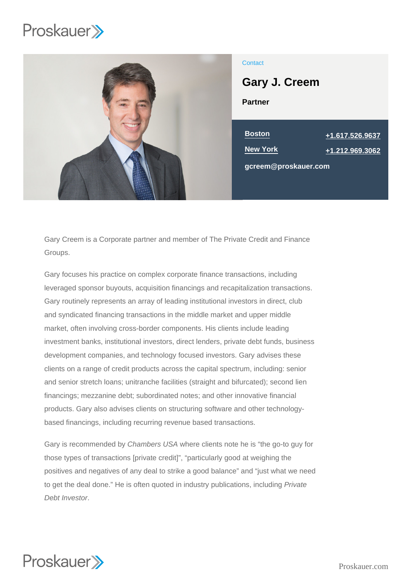

# **Contact**

Partner Gary J. Creem

| <b>Boston</b>        | +1.617.526.9637   |
|----------------------|-------------------|
| New York             | $+1.212.969.3062$ |
| gcreem@proskauer.com |                   |

Gary Creem is a Corporate partner and member of The Private Credit and Finance Groups.

Gary focuses his practice on complex corporate finance transactions, including leveraged sponsor buyouts, acquisition financings and recapitalization transactions. Gary routinely represents an array of leading institutional investors in direct, club and syndicated financing transactions in the middle market and upper middle market, often involving cross-border components. His clients include leading investment banks, institutional investors, direct lenders, private debt funds, business development companies, and technology focused investors. Gary advises these clients on a range of credit products across the capital spectrum, including: senior and senior stretch loans; unitranche facilities (straight and bifurcated); second lien financings; mezzanine debt; subordinated notes; and other innovative financial products. Gary also advises clients on structuring software and other technologybased financings, including recurring revenue based transactions.

Gary is recommended by Chambers USA where clients note he is "the go-to guy for those types of transactions [private credit]", "particularly good at weighing the positives and negatives of any deal to strike a good balance" and "just what we need to get the deal done." He is often quoted in industry publications, including Private Debt Investor.

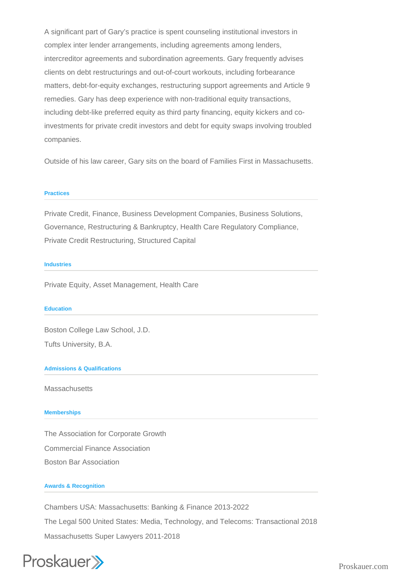A significant part of Gary's practice is spent counseling institutional investors in complex inter lender arrangements, including agreements among lenders, intercreditor agreements and subordination agreements. Gary frequently advises clients on debt restructurings and out-of-court workouts, including forbearance matters, debt-for-equity exchanges, restructuring support agreements and Article 9 remedies. Gary has deep experience with non-traditional equity transactions, including debt-like preferred equity as third party financing, equity kickers and coinvestments for private credit investors and debt for equity swaps involving troubled companies.

Outside of his law career, Gary sits on the board of Families First in Massachusetts.

### **Practices**

Private Credit, Finance, Business Development Companies, Business Solutions, Governance, Restructuring & Bankruptcy, Health Care Regulatory Compliance, Private Credit Restructuring, Structured Capital

#### **Industries**

Private Equity, Asset Management, Health Care

#### **Education**

Boston College Law School, J.D.

Tufts University, B.A.

## **Admissions & Qualifications**

**Massachusetts** 

### **Memberships**

The Association for Corporate Growth Commercial Finance Association Boston Bar Association

### **Awards & Recognition**

Chambers USA: Massachusetts: Banking & Finance 2013-2022 The Legal 500 United States: Media, Technology, and Telecoms: Transactional 2018 Massachusetts Super Lawyers 2011-2018